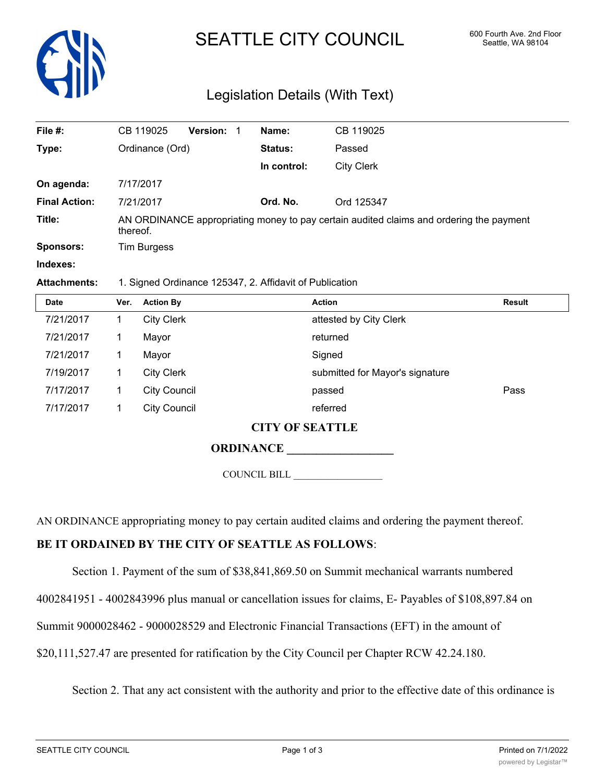

# SEATTLE CITY COUNCIL 600 Fourth Ave. 2nd Floor

# Legislation Details (With Text)

| File #:              | CB 119025                                                                                           | <b>Version:</b> | Name:       | CB 119025         |  |  |
|----------------------|-----------------------------------------------------------------------------------------------------|-----------------|-------------|-------------------|--|--|
| Type:                | Ordinance (Ord)                                                                                     |                 | Status:     | Passed            |  |  |
|                      |                                                                                                     |                 | In control: | <b>City Clerk</b> |  |  |
| On agenda:           | 7/17/2017                                                                                           |                 |             |                   |  |  |
| <b>Final Action:</b> | 7/21/2017                                                                                           |                 | Ord. No.    | Ord 125347        |  |  |
| Title:               | AN ORDINANCE appropriating money to pay certain audited claims and ordering the payment<br>thereof. |                 |             |                   |  |  |
| Sponsors:            | <b>Tim Burgess</b>                                                                                  |                 |             |                   |  |  |
| Indexes:             |                                                                                                     |                 |             |                   |  |  |

#### **Attachments:** 1. Signed Ordinance 125347, 2. Affidavit of Publication

| <b>Date</b> | Ver. | <b>Action By</b>    | <b>Action</b>                   | <b>Result</b> |  |  |
|-------------|------|---------------------|---------------------------------|---------------|--|--|
| 7/21/2017   |      | <b>City Clerk</b>   | attested by City Clerk          |               |  |  |
| 7/21/2017   |      | Mayor               | returned                        |               |  |  |
| 7/21/2017   |      | Mayor               | Signed                          |               |  |  |
| 7/19/2017   |      | <b>City Clerk</b>   | submitted for Mayor's signature |               |  |  |
| 7/17/2017   |      | <b>City Council</b> | passed                          | Pass          |  |  |
| 7/17/2017   |      | <b>City Council</b> | referred                        |               |  |  |
|             |      | CITIV OEDCH TIT E   |                                 |               |  |  |

## **CITY OF SEATTLE**

## **ORDINANCE \_\_\_\_\_\_\_\_\_\_\_\_\_\_\_\_\_\_**

COUNCIL BILL \_\_\_\_\_\_\_\_\_\_\_\_\_\_\_\_\_\_

AN ORDINANCE appropriating money to pay certain audited claims and ordering the payment thereof.

#### **BE IT ORDAINED BY THE CITY OF SEATTLE AS FOLLOWS**:

Section 1. Payment of the sum of \$38,841,869.50 on Summit mechanical warrants numbered

4002841951 - 4002843996 plus manual or cancellation issues for claims, E- Payables of \$108,897.84 on

Summit 9000028462 - 9000028529 and Electronic Financial Transactions (EFT) in the amount of

\$20,111,527.47 are presented for ratification by the City Council per Chapter RCW 42.24.180.

Section 2. That any act consistent with the authority and prior to the effective date of this ordinance is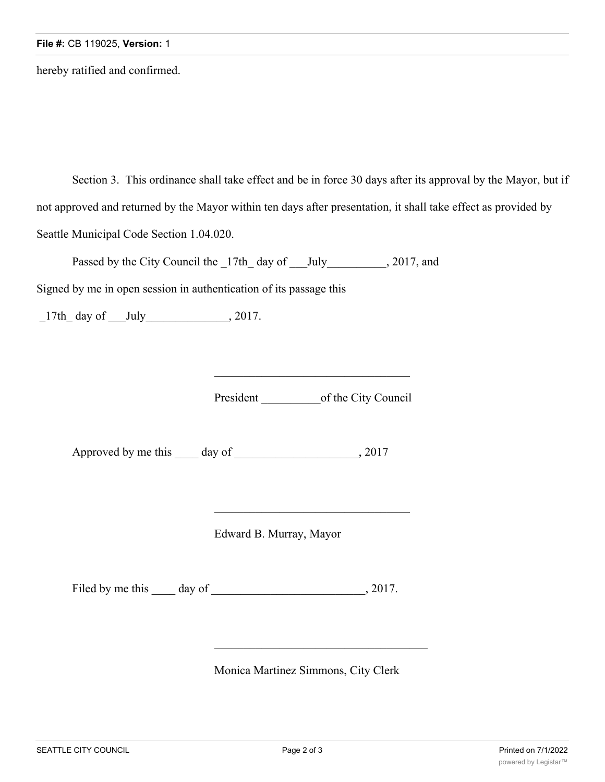hereby ratified and confirmed.

Section 3. This ordinance shall take effect and be in force 30 days after its approval by the Mayor, but if not approved and returned by the Mayor within ten days after presentation, it shall take effect as provided by Seattle Municipal Code Section 1.04.020.

Passed by the City Council the \_17th\_ day of \_\_\_July\_\_\_\_\_\_\_\_\_, 2017, and

Signed by me in open session in authentication of its passage this

 $\_17th\_$  day of  $\_$  July $\_$  , 2017.

President \_\_\_\_\_\_\_\_\_\_\_\_\_\_\_\_\_of the City Council

Approved by me this \_\_\_\_ day of \_\_\_\_\_\_\_\_\_\_\_\_\_\_\_\_\_\_\_\_, 2017

Edward B. Murray, Mayor

Filed by me this day of  $\qquad \qquad$ , 2017.

Monica Martinez Simmons, City Clerk